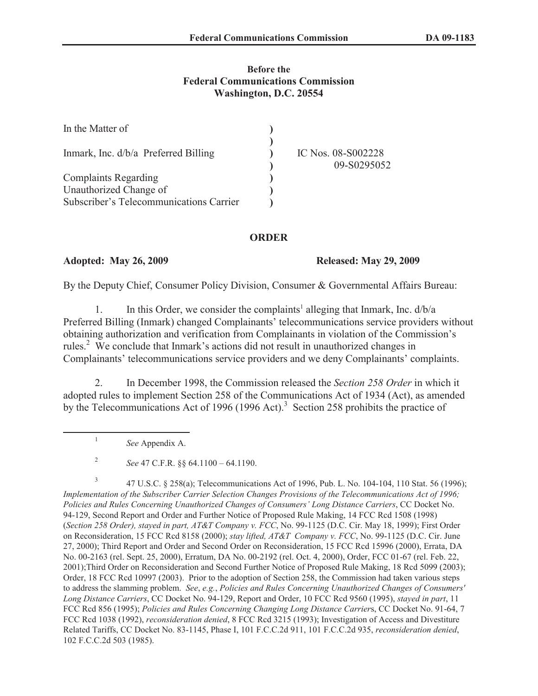## **Before the Federal Communications Commission Washington, D.C. 20554**

| In the Matter of                        |                                   |
|-----------------------------------------|-----------------------------------|
| Inmark, Inc. $d/b/a$ Preferred Billing  | IC Nos. 08-S002228<br>09-S0295052 |
| <b>Complaints Regarding</b>             |                                   |
| Unauthorized Change of                  |                                   |
| Subscriber's Telecommunications Carrier |                                   |

## **ORDER**

**Adopted: May 26, 2009 Released: May 29, 2009**

By the Deputy Chief, Consumer Policy Division, Consumer & Governmental Affairs Bureau:

1. In this Order, we consider the complaints<sup>1</sup> alleging that Inmark, Inc.  $d/b/a$ Preferred Billing (Inmark) changed Complainants' telecommunications service providers without obtaining authorization and verification from Complainants in violation of the Commission's rules.<sup>2</sup> We conclude that Inmark's actions did not result in unauthorized changes in Complainants' telecommunications service providers and we deny Complainants' complaints.

2. In December 1998, the Commission released the *Section 258 Order* in which it adopted rules to implement Section 258 of the Communications Act of 1934 (Act), as amended by the Telecommunications Act of 1996 (1996 Act).<sup>3</sup> Section 258 prohibits the practice of

*See* Appendix A.

1

2 *See* 47 C.F.R. §§ 64.1100 – 64.1190.

3 47 U.S.C. § 258(a); Telecommunications Act of 1996, Pub. L. No. 104-104, 110 Stat. 56 (1996); *Implementation of the Subscriber Carrier Selection Changes Provisions of the Telecommunications Act of 1996; Policies and Rules Concerning Unauthorized Changes of Consumers' Long Distance Carriers*, CC Docket No. 94-129, Second Report and Order and Further Notice of Proposed Rule Making, 14 FCC Rcd 1508 (1998) (*Section 258 Order), stayed in part, AT&T Company v. FCC*, No. 99-1125 (D.C. Cir. May 18, 1999); First Order on Reconsideration, 15 FCC Rcd 8158 (2000); *stay lifted, AT&T Company v. FCC*, No. 99-1125 (D.C. Cir. June 27, 2000); Third Report and Order and Second Order on Reconsideration, 15 FCC Rcd 15996 (2000), Errata, DA No. 00-2163 (rel. Sept. 25, 2000), Erratum, DA No. 00-2192 (rel. Oct. 4, 2000), Order, FCC 01-67 (rel. Feb. 22, 2001);Third Order on Reconsideration and Second Further Notice of Proposed Rule Making, 18 Rcd 5099 (2003); Order, 18 FCC Rcd 10997 (2003). Prior to the adoption of Section 258, the Commission had taken various steps to address the slamming problem. *See*, *e.g.*, *Policies and Rules Concerning Unauthorized Changes of Consumers' Long Distance Carriers*, CC Docket No. 94-129, Report and Order, 10 FCC Rcd 9560 (1995), *stayed in part*, 11 FCC Rcd 856 (1995); *Policies and Rules Concerning Changing Long Distance Carrier*s, CC Docket No. 91-64, 7 FCC Rcd 1038 (1992), *reconsideration denied*, 8 FCC Rcd 3215 (1993); Investigation of Access and Divestiture Related Tariffs, CC Docket No. 83-1145, Phase I, 101 F.C.C.2d 911, 101 F.C.C.2d 935, *reconsideration denied*, 102 F.C.C.2d 503 (1985).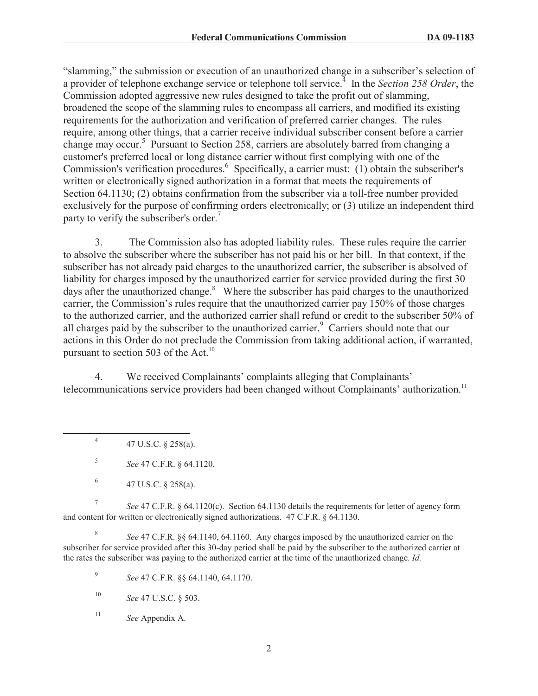"slamming," the submission or execution of an unauthorized change in a subscriber's selection of a provider of telephone exchange service or telephone toll service.<sup>4</sup> In the *Section 258 Order*, the Commission adopted aggressive new rules designed to take the profit out of slamming, broadened the scope of the slamming rules to encompass all carriers, and modified its existing requirements for the authorization and verification of preferred carrier changes. The rules require, among other things, that a carrier receive individual subscriber consent before a carrier change may occur.<sup>5</sup> Pursuant to Section 258, carriers are absolutely barred from changing a customer's preferred local or long distance carrier without first complying with one of the Commission's verification procedures.<sup>6</sup> Specifically, a carrier must: (1) obtain the subscriber's written or electronically signed authorization in a format that meets the requirements of Section 64.1130; (2) obtains confirmation from the subscriber via a toll-free number provided exclusively for the purpose of confirming orders electronically; or (3) utilize an independent third party to verify the subscriber's order.<sup>7</sup>

3. The Commission also has adopted liability rules. These rules require the carrier to absolve the subscriber where the subscriber has not paid his or her bill. In that context, if the subscriber has not already paid charges to the unauthorized carrier, the subscriber is absolved of liability for charges imposed by the unauthorized carrier for service provided during the first 30 days after the unauthorized change.<sup>8</sup> Where the subscriber has paid charges to the unauthorized carrier, the Commission's rules require that the unauthorized carrier pay 150% of those charges to the authorized carrier, and the authorized carrier shall refund or credit to the subscriber 50% of all charges paid by the subscriber to the unauthorized carrier.<sup>9</sup> Carriers should note that our actions in this Order do not preclude the Commission from taking additional action, if warranted, pursuant to section 503 of the Act.<sup>10</sup>

4. We received Complainants' complaints alleging that Complainants' telecommunications service providers had been changed without Complainants' authorization.<sup>11</sup>

4 47 U.S.C. § 258(a).

5 *See* 47 C.F.R. § 64.1120.

6 47 U.S.C. § 258(a).

7 *See* 47 C.F.R. § 64.1120(c). Section 64.1130 details the requirements for letter of agency form and content for written or electronically signed authorizations. 47 C.F.R. § 64.1130.

8 *See* 47 C.F.R. §§ 64.1140, 64.1160. Any charges imposed by the unauthorized carrier on the subscriber for service provided after this 30-day period shall be paid by the subscriber to the authorized carrier at the rates the subscriber was paying to the authorized carrier at the time of the unauthorized change. *Id.*

9 *See* 47 C.F.R. §§ 64.1140, 64.1170.

<sup>10</sup> *See* 47 U.S.C. § 503.

<sup>11</sup> *See* Appendix A.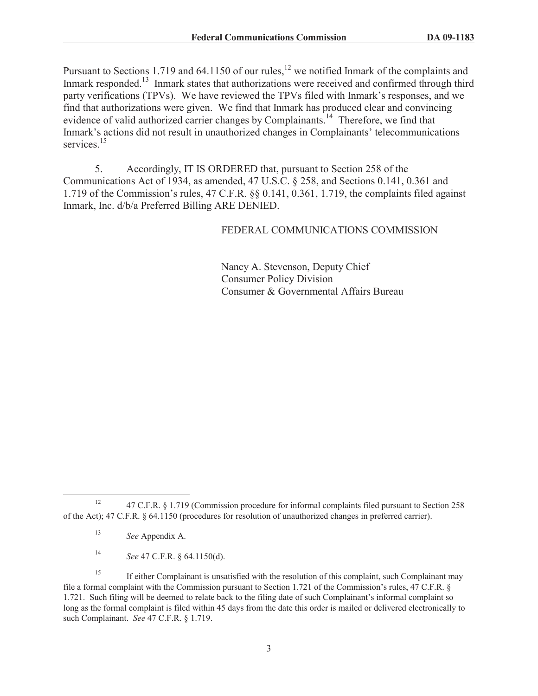Pursuant to Sections 1.719 and 64.1150 of our rules,<sup>12</sup> we notified Inmark of the complaints and Inmark responded.<sup>13</sup> Inmark states that authorizations were received and confirmed through third party verifications (TPVs). We have reviewed the TPVs filed with Inmark's responses, and we find that authorizations were given. We find that Inmark has produced clear and convincing evidence of valid authorized carrier changes by Complainants.<sup>14</sup> Therefore, we find that Inmark's actions did not result in unauthorized changes in Complainants' telecommunications services<sup>15</sup>

5. Accordingly, IT IS ORDERED that, pursuant to Section 258 of the Communications Act of 1934, as amended, 47 U.S.C. § 258, and Sections 0.141, 0.361 and 1.719 of the Commission's rules, 47 C.F.R. §§ 0.141, 0.361, 1.719, the complaints filed against Inmark, Inc. d/b/a Preferred Billing ARE DENIED.

FEDERAL COMMUNICATIONS COMMISSION

Nancy A. Stevenson, Deputy Chief Consumer Policy Division Consumer & Governmental Affairs Bureau

<sup>14</sup> *See* 47 C.F.R. § 64.1150(d).

<sup>&</sup>lt;sup>12</sup> 47 C.F.R. § 1.719 (Commission procedure for informal complaints filed pursuant to Section 258 of the Act); 47 C.F.R. § 64.1150 (procedures for resolution of unauthorized changes in preferred carrier).

<sup>13</sup> *See* Appendix A.

<sup>&</sup>lt;sup>15</sup> If either Complainant is unsatisfied with the resolution of this complaint, such Complainant may file a formal complaint with the Commission pursuant to Section 1.721 of the Commission's rules, 47 C.F.R. § 1.721. Such filing will be deemed to relate back to the filing date of such Complainant's informal complaint so long as the formal complaint is filed within 45 days from the date this order is mailed or delivered electronically to such Complainant. *See* 47 C.F.R. § 1.719.